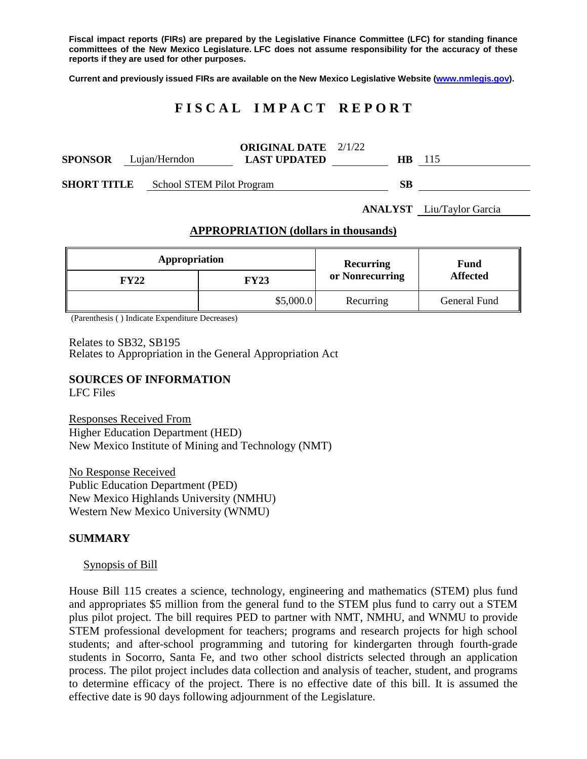**Fiscal impact reports (FIRs) are prepared by the Legislative Finance Committee (LFC) for standing finance committees of the New Mexico Legislature. LFC does not assume responsibility for the accuracy of these reports if they are used for other purposes.**

**Current and previously issued FIRs are available on the New Mexico Legislative Website [\(www.nmlegis.gov\)](http://www.nmlegis.gov/).**

# **F I S C A L I M P A C T R E P O R T**

| <b>SPONSOR</b>     |  | Lujan/Herndon             | <b>ORIGINAL DATE</b> 2/1/22<br><b>LAST UPDATED</b> | HB. | -115 |
|--------------------|--|---------------------------|----------------------------------------------------|-----|------|
| <b>SHORT TITLE</b> |  | School STEM Pilot Program |                                                    | SВ  |      |

**ANALYST** Liu/Taylor Garcia

#### **APPROPRIATION (dollars in thousands)**

| Appropriation |             | Recurring       | Fund<br><b>Affected</b> |  |
|---------------|-------------|-----------------|-------------------------|--|
| <b>FY22</b>   | <b>FY23</b> | or Nonrecurring |                         |  |
|               | \$5,000.0   | Recurring       | General Fund            |  |

(Parenthesis ( ) Indicate Expenditure Decreases)

Relates to SB32, SB195 Relates to Appropriation in the General Appropriation Act

### **SOURCES OF INFORMATION**

LFC Files

Responses Received From Higher Education Department (HED) New Mexico Institute of Mining and Technology (NMT)

No Response Received Public Education Department (PED) New Mexico Highlands University (NMHU) Western New Mexico University (WNMU)

#### **SUMMARY**

#### Synopsis of Bill

House Bill 115 creates a science, technology, engineering and mathematics (STEM) plus fund and appropriates \$5 million from the general fund to the STEM plus fund to carry out a STEM plus pilot project. The bill requires PED to partner with NMT, NMHU, and WNMU to provide STEM professional development for teachers; programs and research projects for high school students; and after-school programming and tutoring for kindergarten through fourth-grade students in Socorro, Santa Fe, and two other school districts selected through an application process. The pilot project includes data collection and analysis of teacher, student, and programs to determine efficacy of the project. There is no effective date of this bill. It is assumed the effective date is 90 days following adjournment of the Legislature.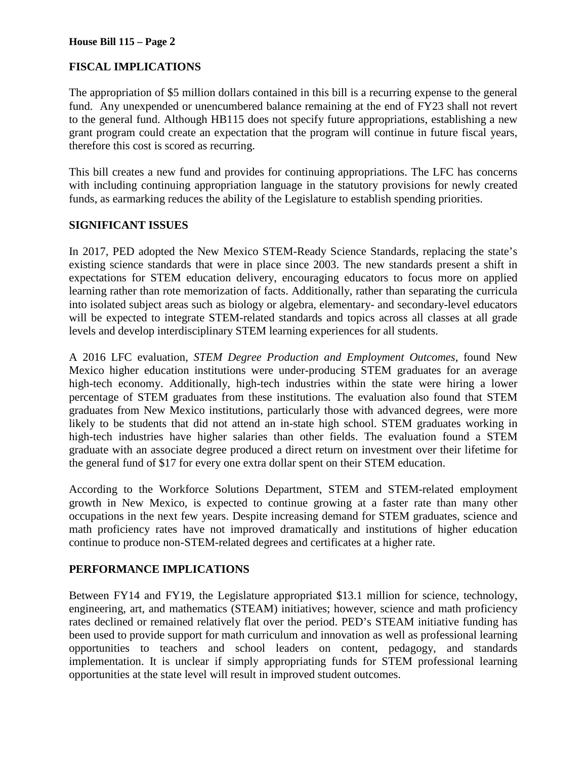#### **House Bill 115 – Page 2**

# **FISCAL IMPLICATIONS**

The appropriation of \$5 million dollars contained in this bill is a recurring expense to the general fund. Any unexpended or unencumbered balance remaining at the end of FY23 shall not revert to the general fund. Although HB115 does not specify future appropriations, establishing a new grant program could create an expectation that the program will continue in future fiscal years, therefore this cost is scored as recurring.

This bill creates a new fund and provides for continuing appropriations. The LFC has concerns with including continuing appropriation language in the statutory provisions for newly created funds, as earmarking reduces the ability of the Legislature to establish spending priorities.

#### **SIGNIFICANT ISSUES**

In 2017, PED adopted the New Mexico STEM-Ready Science Standards, replacing the state's existing science standards that were in place since 2003. The new standards present a shift in expectations for STEM education delivery, encouraging educators to focus more on applied learning rather than rote memorization of facts. Additionally, rather than separating the curricula into isolated subject areas such as biology or algebra, elementary- and secondary-level educators will be expected to integrate STEM-related standards and topics across all classes at all grade levels and develop interdisciplinary STEM learning experiences for all students.

A 2016 LFC evaluation, *STEM Degree Production and Employment Outcomes*, found New Mexico higher education institutions were under-producing STEM graduates for an average high-tech economy. Additionally, high-tech industries within the state were hiring a lower percentage of STEM graduates from these institutions. The evaluation also found that STEM graduates from New Mexico institutions, particularly those with advanced degrees, were more likely to be students that did not attend an in-state high school. STEM graduates working in high-tech industries have higher salaries than other fields. The evaluation found a STEM graduate with an associate degree produced a direct return on investment over their lifetime for the general fund of \$17 for every one extra dollar spent on their STEM education.

According to the Workforce Solutions Department, STEM and STEM-related employment growth in New Mexico, is expected to continue growing at a faster rate than many other occupations in the next few years. Despite increasing demand for STEM graduates, science and math proficiency rates have not improved dramatically and institutions of higher education continue to produce non-STEM-related degrees and certificates at a higher rate.

# **PERFORMANCE IMPLICATIONS**

Between FY14 and FY19, the Legislature appropriated \$13.1 million for science, technology, engineering, art, and mathematics (STEAM) initiatives; however, science and math proficiency rates declined or remained relatively flat over the period. PED's STEAM initiative funding has been used to provide support for math curriculum and innovation as well as professional learning opportunities to teachers and school leaders on content, pedagogy, and standards implementation. It is unclear if simply appropriating funds for STEM professional learning opportunities at the state level will result in improved student outcomes.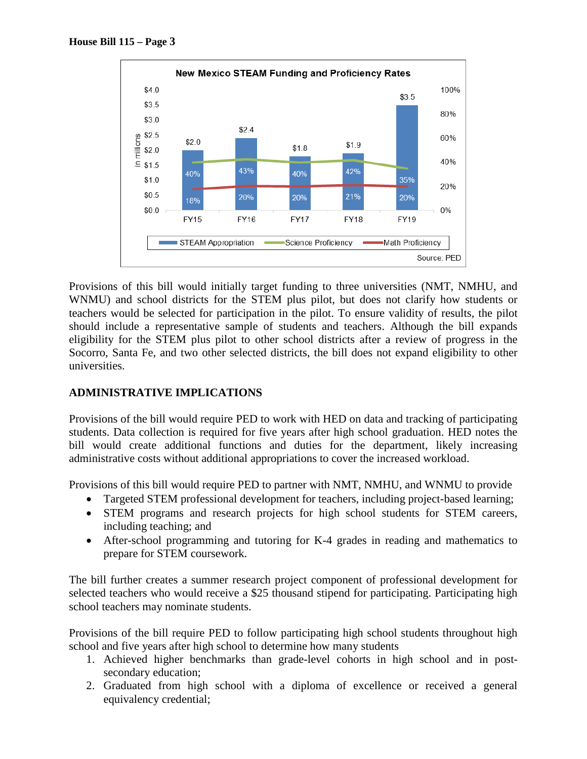

Provisions of this bill would initially target funding to three universities (NMT, NMHU, and WNMU) and school districts for the STEM plus pilot, but does not clarify how students or teachers would be selected for participation in the pilot. To ensure validity of results, the pilot should include a representative sample of students and teachers. Although the bill expands eligibility for the STEM plus pilot to other school districts after a review of progress in the Socorro, Santa Fe, and two other selected districts, the bill does not expand eligibility to other universities.

# **ADMINISTRATIVE IMPLICATIONS**

Provisions of the bill would require PED to work with HED on data and tracking of participating students. Data collection is required for five years after high school graduation. HED notes the bill would create additional functions and duties for the department, likely increasing administrative costs without additional appropriations to cover the increased workload.

Provisions of this bill would require PED to partner with NMT, NMHU, and WNMU to provide

- Targeted STEM professional development for teachers, including project-based learning;
- STEM programs and research projects for high school students for STEM careers, including teaching; and
- After-school programming and tutoring for K-4 grades in reading and mathematics to prepare for STEM coursework.

The bill further creates a summer research project component of professional development for selected teachers who would receive a \$25 thousand stipend for participating. Participating high school teachers may nominate students.

Provisions of the bill require PED to follow participating high school students throughout high school and five years after high school to determine how many students

- 1. Achieved higher benchmarks than grade-level cohorts in high school and in postsecondary education;
- 2. Graduated from high school with a diploma of excellence or received a general equivalency credential;